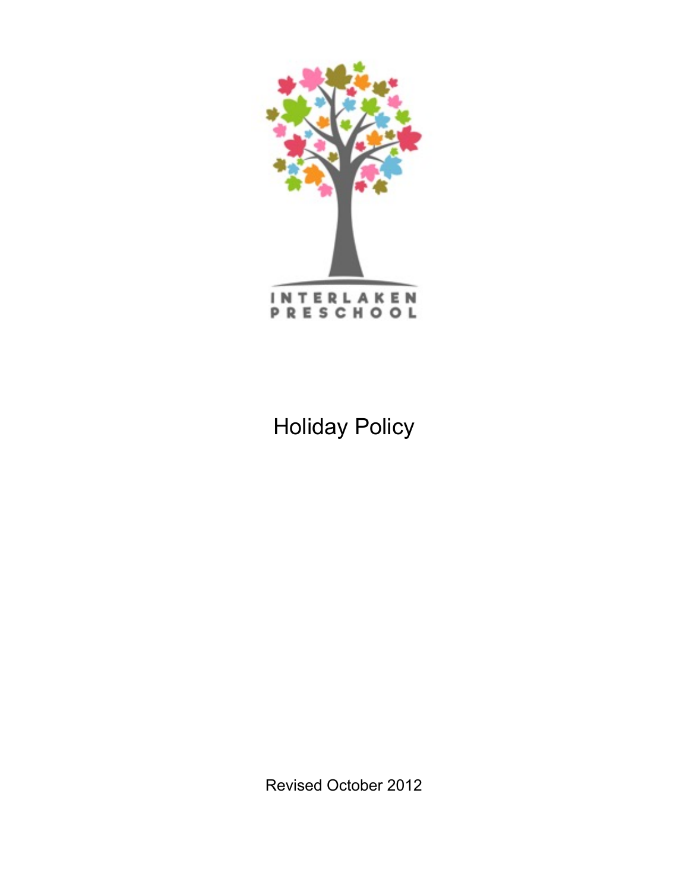

# Holiday Policy

Revised October 2012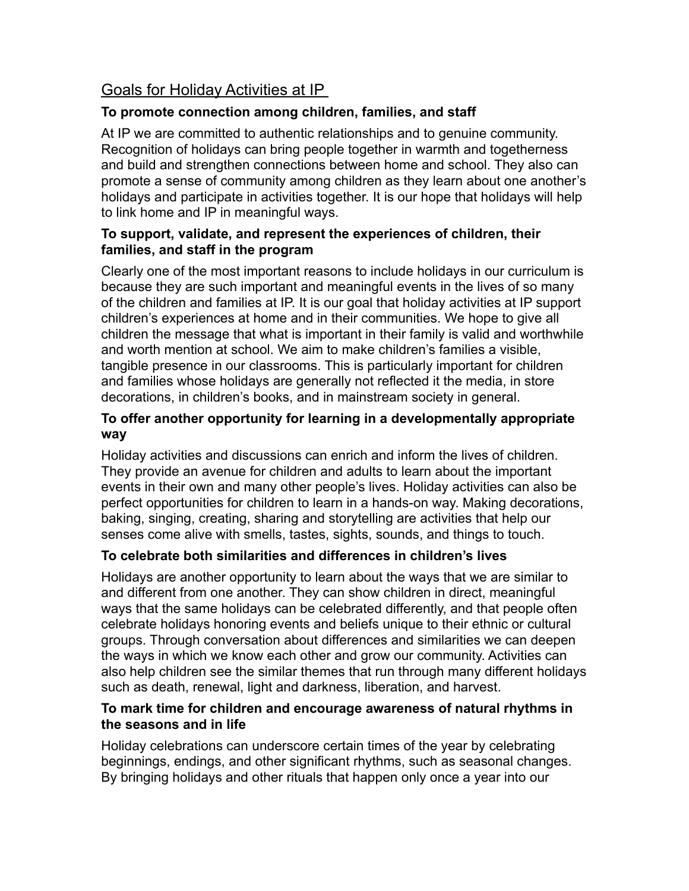# Goals for Holiday Activities at IP

## **To promote connection among children, families, and staff**

At IP we are committed to authentic relationships and to genuine community. Recognition of holidays can bring people together in warmth and togetherness and build and strengthen connections between home and school. They also can promote a sense of community among children as they learn about one another's holidays and participate in activities together. It is our hope that holidays will help to link home and IP in meaningful ways.

## **To support, validate, and represent the experiences of children, their families, and staff in the program**

Clearly one of the most important reasons to include holidays in our curriculum is because they are such important and meaningful events in the lives of so many of the children and families at IP. It is our goal that holiday activities at IP support children's experiences at home and in their communities. We hope to give all children the message that what is important in their family is valid and worthwhile and worth mention at school. We aim to make children's families a visible, tangible presence in our classrooms. This is particularly important for children and families whose holidays are generally not reflected it the media, in store decorations, in children's books, and in mainstream society in general.

## **To offer another opportunity for learning in a developmentally appropriate way**

Holiday activities and discussions can enrich and inform the lives of children. They provide an avenue for children and adults to learn about the important events in their own and many other people's lives. Holiday activities can also be perfect opportunities for children to learn in a hands-on way. Making decorations, baking, singing, creating, sharing and storytelling are activities that help our senses come alive with smells, tastes, sights, sounds, and things to touch.

# **To celebrate both similarities and differences in children's lives**

Holidays are another opportunity to learn about the ways that we are similar to and different from one another. They can show children in direct, meaningful ways that the same holidays can be celebrated differently, and that people often celebrate holidays honoring events and beliefs unique to their ethnic or cultural groups. Through conversation about differences and similarities we can deepen the ways in which we know each other and grow our community. Activities can also help children see the similar themes that run through many different holidays such as death, renewal, light and darkness, liberation, and harvest.

#### **To mark time for children and encourage awareness of natural rhythms in the seasons and in life**

Holiday celebrations can underscore certain times of the year by celebrating beginnings, endings, and other significant rhythms, such as seasonal changes. By bringing holidays and other rituals that happen only once a year into our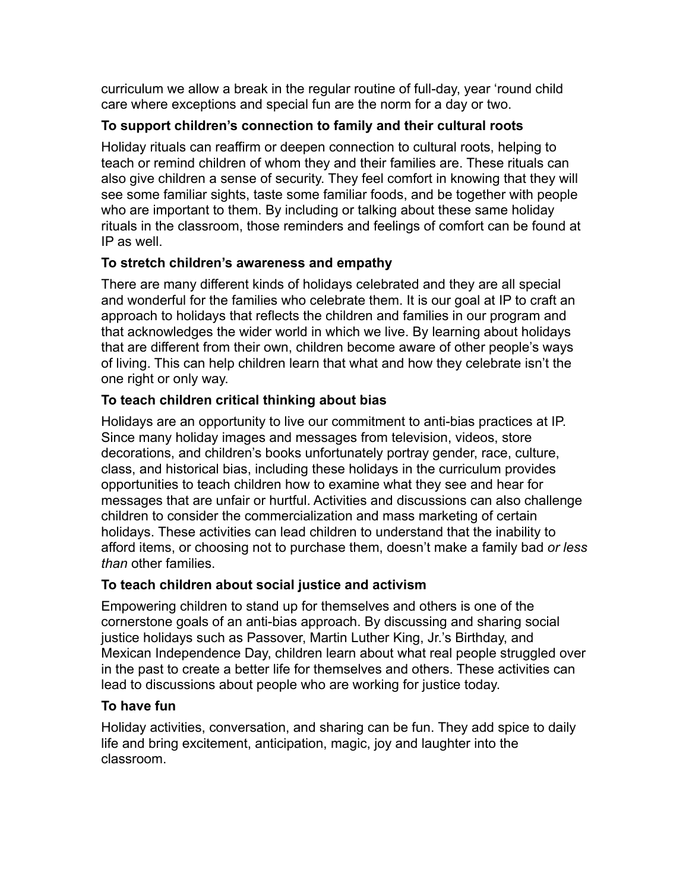curriculum we allow a break in the regular routine of full-day, year 'round child care where exceptions and special fun are the norm for a day or two.

## **To support children's connection to family and their cultural roots**

Holiday rituals can reaffirm or deepen connection to cultural roots, helping to teach or remind children of whom they and their families are. These rituals can also give children a sense of security. They feel comfort in knowing that they will see some familiar sights, taste some familiar foods, and be together with people who are important to them. By including or talking about these same holiday rituals in the classroom, those reminders and feelings of comfort can be found at IP as well.

## **To stretch children's awareness and empathy**

There are many different kinds of holidays celebrated and they are all special and wonderful for the families who celebrate them. It is our goal at IP to craft an approach to holidays that reflects the children and families in our program and that acknowledges the wider world in which we live. By learning about holidays that are different from their own, children become aware of other people's ways of living. This can help children learn that what and how they celebrate isn't the one right or only way.

## **To teach children critical thinking about bias**

Holidays are an opportunity to live our commitment to anti-bias practices at IP. Since many holiday images and messages from television, videos, store decorations, and children's books unfortunately portray gender, race, culture, class, and historical bias, including these holidays in the curriculum provides opportunities to teach children how to examine what they see and hear for messages that are unfair or hurtful. Activities and discussions can also challenge children to consider the commercialization and mass marketing of certain holidays. These activities can lead children to understand that the inability to afford items, or choosing not to purchase them, doesn't make a family bad *or less than* other families.

## **To teach children about social justice and activism**

Empowering children to stand up for themselves and others is one of the cornerstone goals of an anti-bias approach. By discussing and sharing social justice holidays such as Passover, Martin Luther King, Jr.'s Birthday, and Mexican Independence Day, children learn about what real people struggled over in the past to create a better life for themselves and others. These activities can lead to discussions about people who are working for justice today.

## **To have fun**

Holiday activities, conversation, and sharing can be fun. They add spice to daily life and bring excitement, anticipation, magic, joy and laughter into the classroom.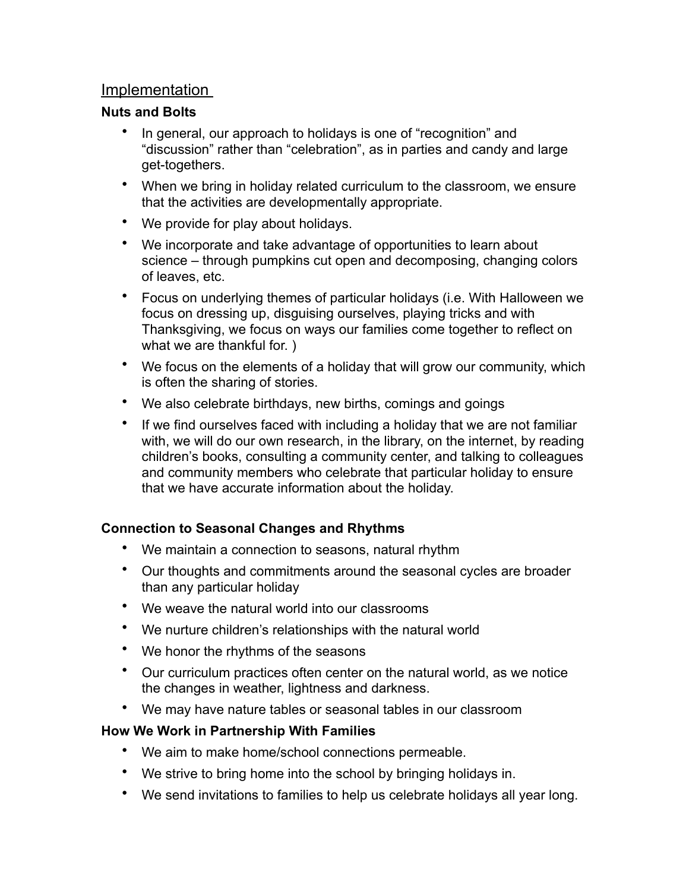#### Implementation

#### **Nuts and Bolts**

- In general, our approach to holidays is one of "recognition" and "discussion" rather than "celebration", as in parties and candy and large get-togethers.
- When we bring in holiday related curriculum to the classroom, we ensure that the activities are developmentally appropriate.
- We provide for play about holidays.
- We incorporate and take advantage of opportunities to learn about science – through pumpkins cut open and decomposing, changing colors of leaves, etc.
- Focus on underlying themes of particular holidays (i.e. With Halloween we focus on dressing up, disguising ourselves, playing tricks and with Thanksgiving, we focus on ways our families come together to reflect on what we are thankful for. )
- We focus on the elements of a holiday that will grow our community, which is often the sharing of stories.
- We also celebrate birthdays, new births, comings and goings
- If we find ourselves faced with including a holiday that we are not familiar with, we will do our own research, in the library, on the internet, by reading children's books, consulting a community center, and talking to colleagues and community members who celebrate that particular holiday to ensure that we have accurate information about the holiday.

## **Connection to Seasonal Changes and Rhythms**

- We maintain a connection to seasons, natural rhythm
- Our thoughts and commitments around the seasonal cycles are broader than any particular holiday
- We weave the natural world into our classrooms
- We nurture children's relationships with the natural world
- We honor the rhythms of the seasons
- Our curriculum practices often center on the natural world, as we notice the changes in weather, lightness and darkness.
- We may have nature tables or seasonal tables in our classroom

## **How We Work in Partnership With Families**

- We aim to make home/school connections permeable.
- We strive to bring home into the school by bringing holidays in.
- We send invitations to families to help us celebrate holidays all year long.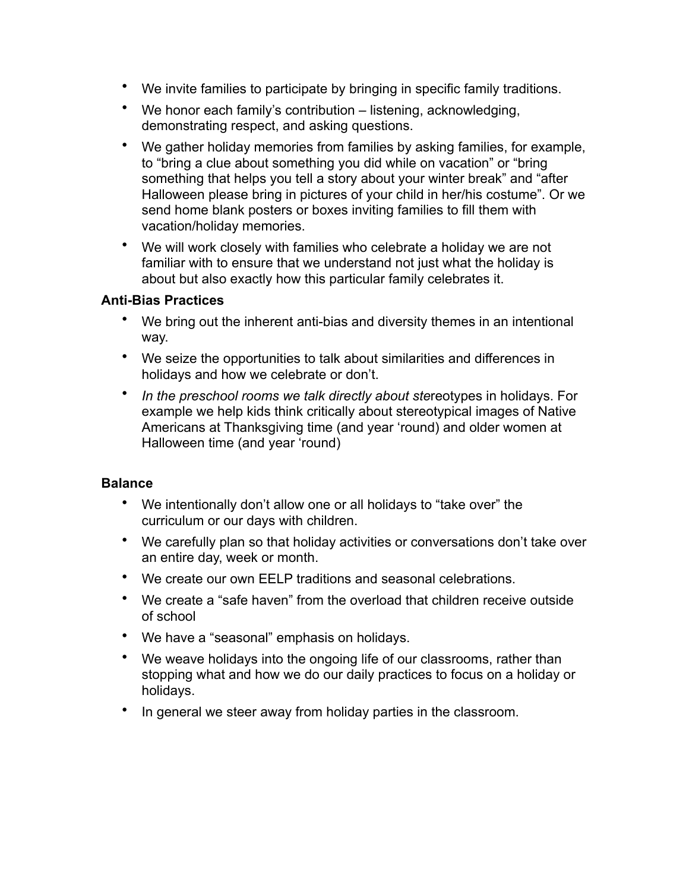- We invite families to participate by bringing in specific family traditions.
- We honor each family's contribution listening, acknowledging, demonstrating respect, and asking questions.
- We gather holiday memories from families by asking families, for example, to "bring a clue about something you did while on vacation" or "bring something that helps you tell a story about your winter break" and "after Halloween please bring in pictures of your child in her/his costume". Or we send home blank posters or boxes inviting families to fill them with vacation/holiday memories.
- We will work closely with families who celebrate a holiday we are not familiar with to ensure that we understand not just what the holiday is about but also exactly how this particular family celebrates it.

#### **Anti-Bias Practices**

- We bring out the inherent anti-bias and diversity themes in an intentional way.
- We seize the opportunities to talk about similarities and differences in holidays and how we celebrate or don't.
- *In the preschool rooms we talk directly about ste*reotypes in holidays. For example we help kids think critically about stereotypical images of Native Americans at Thanksgiving time (and year 'round) and older women at Halloween time (and year 'round)

#### **Balance**

- We intentionally don't allow one or all holidays to "take over" the curriculum or our days with children.
- We carefully plan so that holiday activities or conversations don't take over an entire day, week or month.
- We create our own EELP traditions and seasonal celebrations.
- We create a "safe haven" from the overload that children receive outside of school
- We have a "seasonal" emphasis on holidays.
- We weave holidays into the ongoing life of our classrooms, rather than stopping what and how we do our daily practices to focus on a holiday or holidays.
- In general we steer away from holiday parties in the classroom.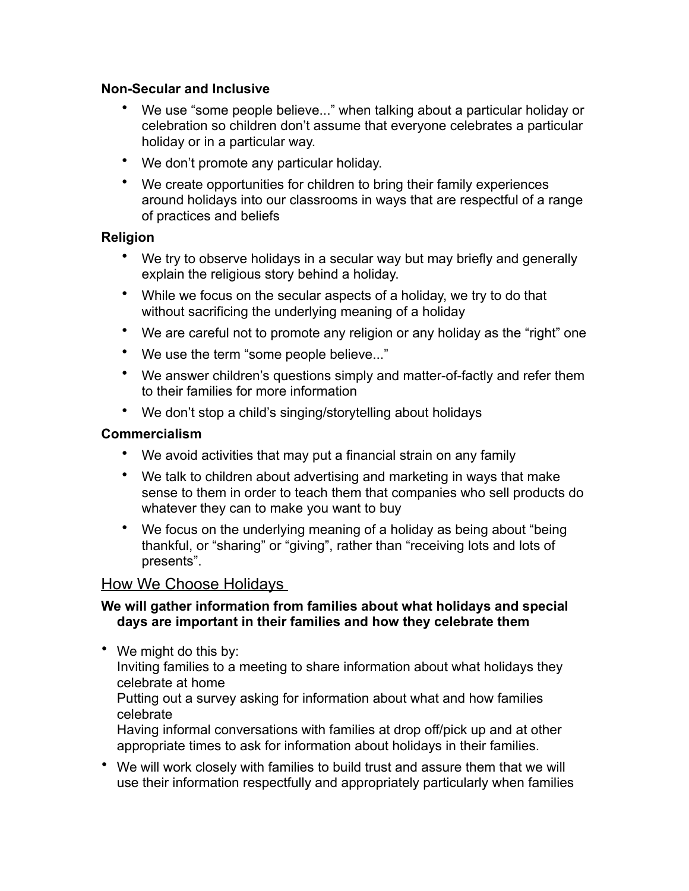#### **Non-Secular and Inclusive**

- We use "some people believe..." when talking about a particular holiday or celebration so children don't assume that everyone celebrates a particular holiday or in a particular way.
- We don't promote any particular holiday.
- We create opportunities for children to bring their family experiences around holidays into our classrooms in ways that are respectful of a range of practices and beliefs

## **Religion**

- We try to observe holidays in a secular way but may briefly and generally explain the religious story behind a holiday.
- While we focus on the secular aspects of a holiday, we try to do that without sacrificing the underlying meaning of a holiday
- We are careful not to promote any religion or any holiday as the "right" one
- We use the term "some people believe..."
- We answer children's questions simply and matter-of-factly and refer them to their families for more information
- We don't stop a child's singing/storytelling about holidays

## **Commercialism**

- We avoid activities that may put a financial strain on any family
- We talk to children about advertising and marketing in ways that make sense to them in order to teach them that companies who sell products do whatever they can to make you want to buy
- We focus on the underlying meaning of a holiday as being about "being thankful, or "sharing" or "giving", rather than "receiving lots and lots of presents".

# How We Choose Holidays

## **We will gather information from families about what holidays and special days are important in their families and how they celebrate them**

- We might do this by: Inviting families to a meeting to share information about what holidays they celebrate at home Putting out a survey asking for information about what and how families celebrate Having informal conversations with families at drop off/pick up and at other appropriate times to ask for information about holidays in their families.
- We will work closely with families to build trust and assure them that we will use their information respectfully and appropriately particularly when families